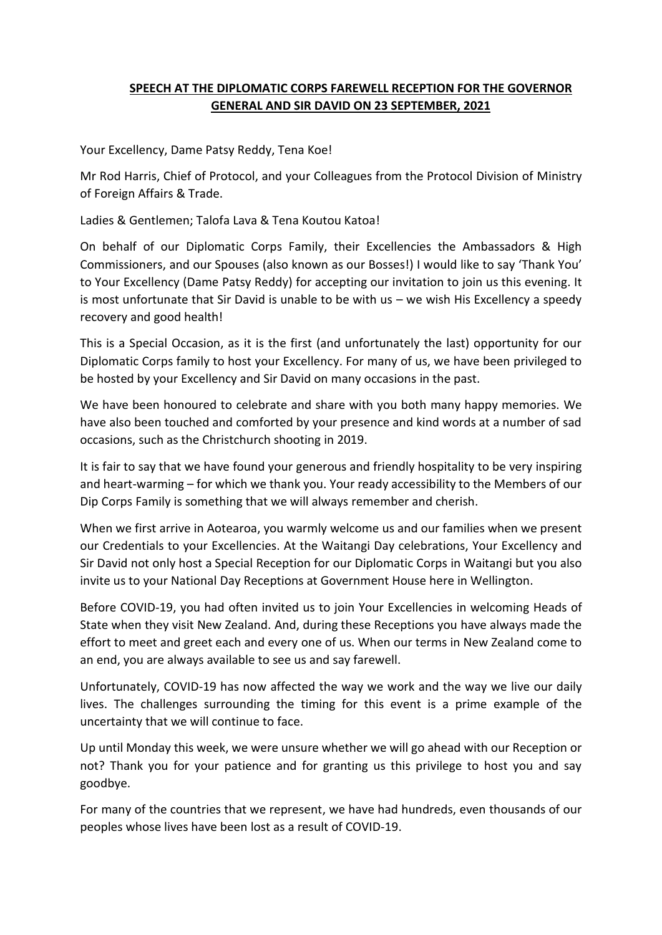## **SPEECH AT THE DIPLOMATIC CORPS FAREWELL RECEPTION FOR THE GOVERNOR GENERAL AND SIR DAVID ON 23 SEPTEMBER, 2021**

Your Excellency, Dame Patsy Reddy, Tena Koe!

Mr Rod Harris, Chief of Protocol, and your Colleagues from the Protocol Division of Ministry of Foreign Affairs & Trade.

Ladies & Gentlemen; Talofa Lava & Tena Koutou Katoa!

On behalf of our Diplomatic Corps Family, their Excellencies the Ambassadors & High Commissioners, and our Spouses (also known as our Bosses!) I would like to say 'Thank You' to Your Excellency (Dame Patsy Reddy) for accepting our invitation to join us this evening. It is most unfortunate that Sir David is unable to be with us – we wish His Excellency a speedy recovery and good health!

This is a Special Occasion, as it is the first (and unfortunately the last) opportunity for our Diplomatic Corps family to host your Excellency. For many of us, we have been privileged to be hosted by your Excellency and Sir David on many occasions in the past.

We have been honoured to celebrate and share with you both many happy memories. We have also been touched and comforted by your presence and kind words at a number of sad occasions, such as the Christchurch shooting in 2019.

It is fair to say that we have found your generous and friendly hospitality to be very inspiring and heart-warming – for which we thank you. Your ready accessibility to the Members of our Dip Corps Family is something that we will always remember and cherish.

When we first arrive in Aotearoa, you warmly welcome us and our families when we present our Credentials to your Excellencies. At the Waitangi Day celebrations, Your Excellency and Sir David not only host a Special Reception for our Diplomatic Corps in Waitangi but you also invite us to your National Day Receptions at Government House here in Wellington.

Before COVID-19, you had often invited us to join Your Excellencies in welcoming Heads of State when they visit New Zealand. And, during these Receptions you have always made the effort to meet and greet each and every one of us. When our terms in New Zealand come to an end, you are always available to see us and say farewell.

Unfortunately, COVID-19 has now affected the way we work and the way we live our daily lives. The challenges surrounding the timing for this event is a prime example of the uncertainty that we will continue to face.

Up until Monday this week, we were unsure whether we will go ahead with our Reception or not? Thank you for your patience and for granting us this privilege to host you and say goodbye.

For many of the countries that we represent, we have had hundreds, even thousands of our peoples whose lives have been lost as a result of COVID-19.